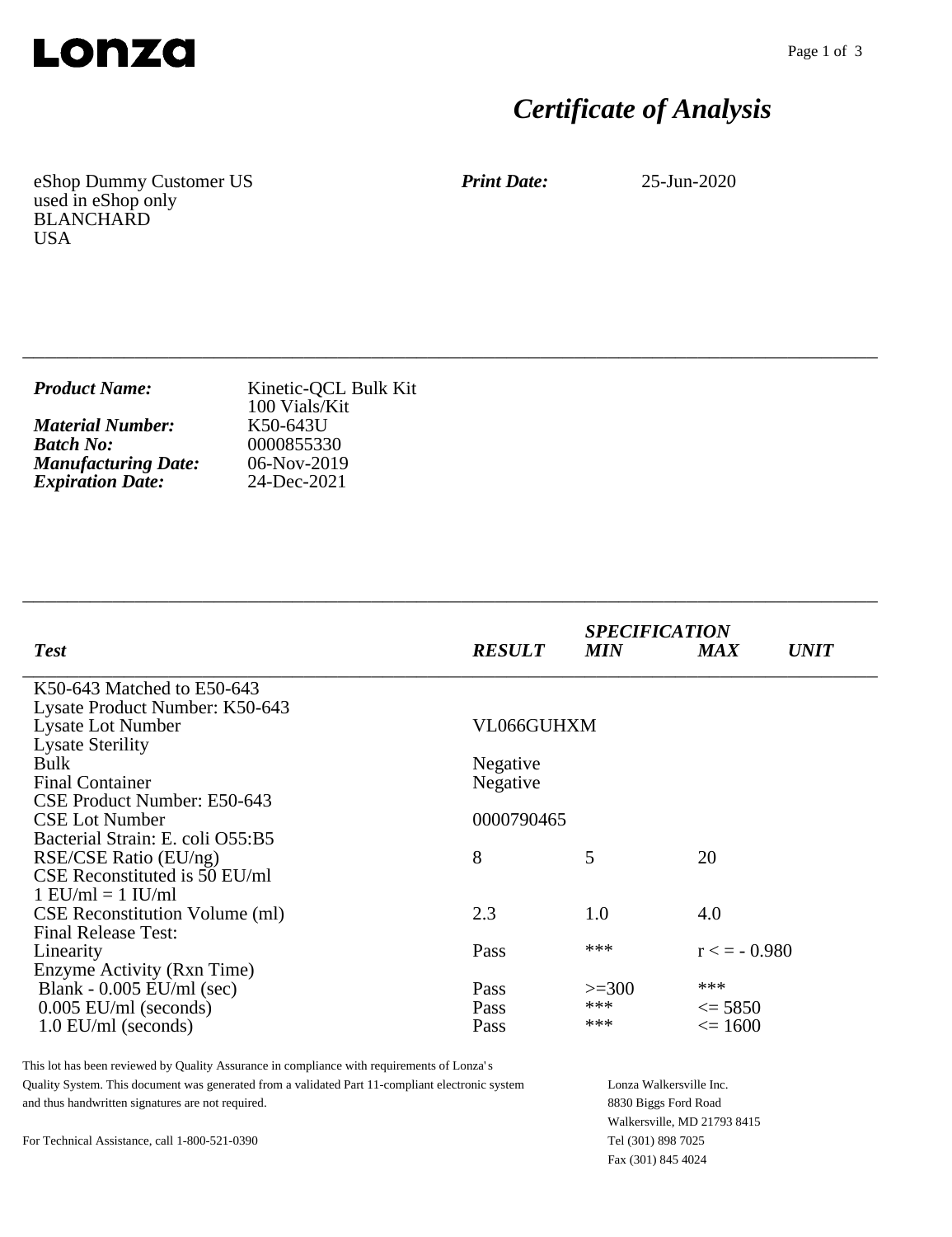

# *Certificate of Analysis*

eShop Dummy Customer US used in eShop only BLANCHARD USA

*Print Date:* 25-Jun-2020

| <b>Product Name:</b>       | Kinetic-QCL Bulk Kit<br>100 Vials/Kit |
|----------------------------|---------------------------------------|
| <b>Material Number:</b>    | K50-643U                              |
| <b>Batch No:</b>           | 0000855330                            |
| <b>Manufacturing Date:</b> | $06-Nov-2019$                         |
| <b>Expiration Date:</b>    | 24-Dec-2021                           |

\_\_\_\_\_\_\_\_\_\_\_\_\_\_\_\_\_\_\_\_\_\_\_\_\_\_\_\_\_\_\_\_\_\_\_\_\_\_\_\_\_\_\_\_\_\_\_\_\_\_\_\_\_\_\_\_\_\_\_\_\_\_\_\_\_\_\_\_\_\_\_\_\_\_\_\_

\_\_\_\_\_\_\_\_\_\_\_\_\_\_\_\_\_\_\_\_\_\_\_\_\_\_\_\_\_\_\_\_\_\_\_\_\_\_\_\_\_\_\_\_\_\_\_\_\_\_\_\_\_\_\_\_\_\_\_\_\_\_\_\_\_\_\_\_\_\_\_\_\_\_\_\_

| <b>RESULT</b> | <b>MIN</b>      | <b>MAX</b>        | <b>UNIT</b>                                    |
|---------------|-----------------|-------------------|------------------------------------------------|
|               |                 |                   |                                                |
|               |                 |                   |                                                |
| VL066GUHXM    |                 |                   |                                                |
|               |                 |                   |                                                |
| Negative      |                 |                   |                                                |
|               |                 |                   |                                                |
|               |                 |                   |                                                |
| 0000790465    |                 |                   |                                                |
|               |                 |                   |                                                |
| 8             | 5               | 20                |                                                |
|               |                 |                   |                                                |
|               |                 |                   |                                                |
|               |                 |                   |                                                |
|               |                 |                   |                                                |
| Pass          | ***             |                   |                                                |
|               |                 |                   |                                                |
| Pass          | $>=300$         | ***               |                                                |
| Pass          | ***             | $\leq$ 5850       |                                                |
| Pass          | ***             | $\epsilon = 1600$ |                                                |
|               | Negative<br>2.3 | 1.0               | <b>SPECIFICATION</b><br>4.0<br>$r \leq -0.980$ |

This lot has been reviewed by Quality Assurance in compliance with requirements of Lonza's Quality System. This document was generated from a validated Part 11-compliant electronic system and thus handwritten signatures are not required.

Lonza Walkersville Inc. 8830 Biggs Ford Road Walkersville, MD 21793 8415 Tel (301) 898 7025 Fax (301) 845 4024

For Technical Assistance, call 1-800-521-0390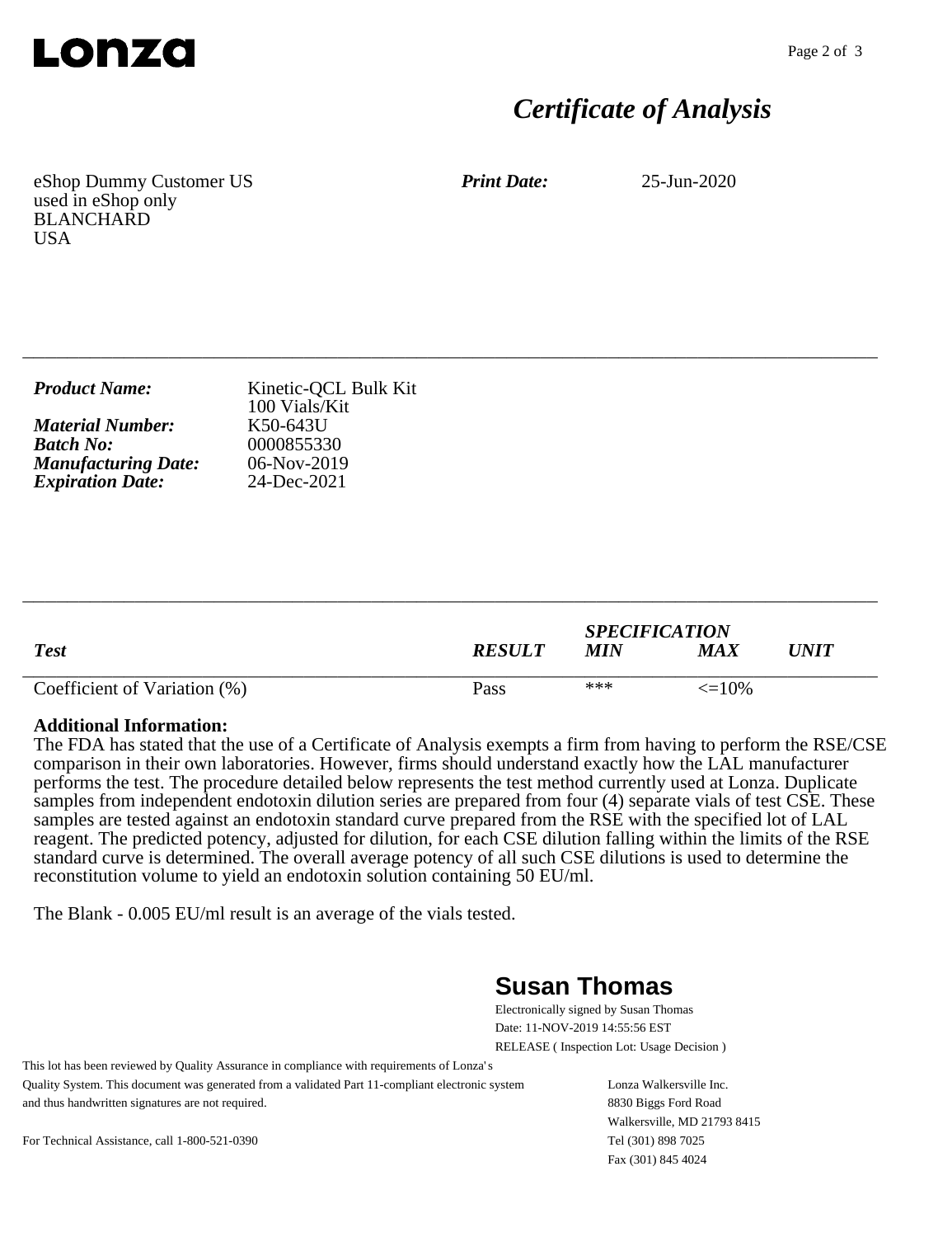

## *Certificate of Analysis*

eShop Dummy Customer US used in eShop only BLANCHARD **USA** 

*Print Date:* 25-Jun-2020

| <b>Product Name:</b>       | Kinetic-QCL Bulk Kit<br>100 Vials/Kit |
|----------------------------|---------------------------------------|
| <b>Material Number:</b>    | K50-643U                              |
| <b>Batch No:</b>           | 0000855330                            |
| <b>Manufacturing Date:</b> | 06-Nov-2019                           |
| <b>Expiration Date:</b>    | 24-Dec-2021                           |

\_\_\_\_\_\_\_\_\_\_\_\_\_\_\_\_\_\_\_\_\_\_\_\_\_\_\_\_\_\_\_\_\_\_\_\_\_\_\_\_\_\_\_\_\_\_\_\_\_\_\_\_\_\_\_\_\_\_\_\_\_\_\_\_\_\_\_\_\_\_\_\_\_\_\_\_

| <b>Test</b>                  | <b>RESULT</b> | <b>SPECIFICATION</b><br><b>MIN</b> | MA X              | UNIT |
|------------------------------|---------------|------------------------------------|-------------------|------|
| Coefficient of Variation (%) | Pass          | ***                                | $\epsilon = 10\%$ |      |

\_\_\_\_\_\_\_\_\_\_\_\_\_\_\_\_\_\_\_\_\_\_\_\_\_\_\_\_\_\_\_\_\_\_\_\_\_\_\_\_\_\_\_\_\_\_\_\_\_\_\_\_\_\_\_\_\_\_\_\_\_\_\_\_\_\_\_\_\_\_\_\_\_\_\_\_

#### **Additional Information:**

The FDA has stated that the use of a Certificate of Analysis exempts a firm from having to perform the RSE/CSE comparison in their own laboratories. However, firms should understand exactly how the LAL manufacturer performs the test. The procedure detailed below represents the test method currently used at Lonza. Duplicate samples from independent endotoxin dilution series are prepared from four (4) separate vials of test CSE. These samples are tested against an endotoxin standard curve prepared from the RSE with the specified lot of LAL reagent. The predicted potency, adjusted for dilution, for each CSE dilution falling within the limits of the RSE standard curve is determined. The overall average potency of all such CSE dilutions is used to determine the reconstitution volume to yield an endotoxin solution containing 50 EU/ml.

The Blank - 0.005 EU/ml result is an average of the vials tested.

### **Susan Thomas**

Electronically signed by Susan Thomas Date: 11-NOV-2019 14:55:56 EST RELEASE ( Inspection Lot: Usage Decision )

This lot has been reviewed by Quality Assurance in compliance with requirements of Lonza's Quality System. This document was generated from a validated Part 11-compliant electronic system and thus handwritten signatures are not required.

Lonza Walkersville Inc. 8830 Biggs Ford Road Walkersville, MD 21793 8415 Tel (301) 898 7025 Fax (301) 845 4024

For Technical Assistance, call 1-800-521-0390